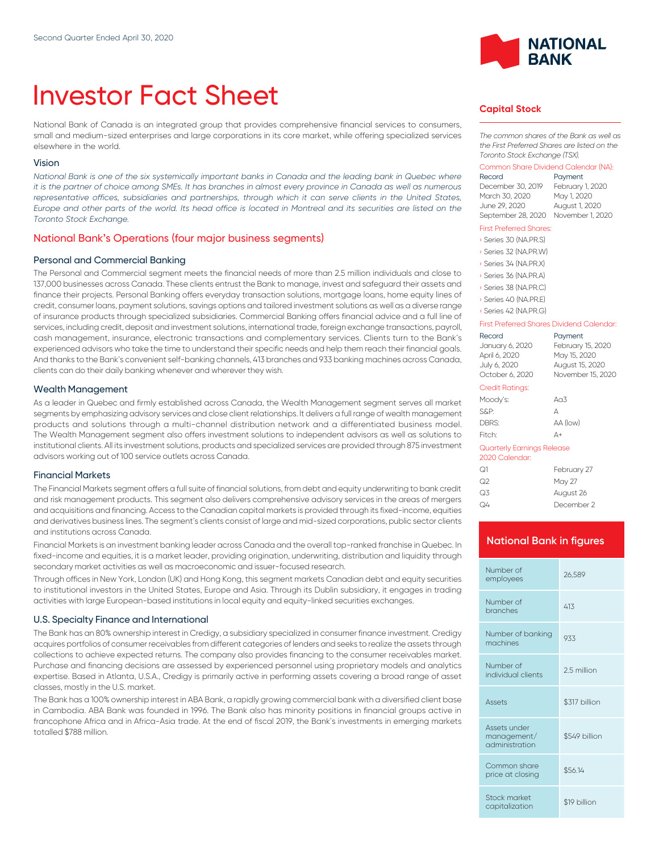# Investor Fact Sheet

National Bank of Canada is an integrated group that provides comprehensive financial services to consumers, small and medium-sized enterprises and large corporations in its core market, while offering specialized services elsewhere in the world.

#### Vision

*National Bank is one of the six systemically important banks in Canada and the leading bank in Quebec where it is the partner of choice among SMEs. It has branches in almost every province in Canada as well as numerous* representative offices, subsidiaries and partnerships, through which it can serve clients in the United States, *Europe and other parts of the world. Its head office is located in Montreal and its securities are listed on the Toronto Stock Exchange.*

#### National Bank's Operations (four major business segments)

#### Personal and Commercial Banking

The Personal and Commercial segment meets the financial needs of more than 2.5 million individuals and close to 137,000 businesses across Canada. These clients entrust the Bank to manage, invest and safeguard their assets and finance their projects. Personal Banking offers everyday transaction solutions, mortgage loans, home equity lines of credit, consumer loans, payment solutions, savings options and tailored investment solutions as well as a diverse range of insurance products through specialized subsidiaries. Commercial Banking offers financial advice and a full line of services, including credit, deposit and investment solutions, international trade, foreign exchange transactions, payroll, cash management, insurance, electronic transactions and complementary services. Clients turn to the Bank's experienced advisors who take the time to understand their specific needs and help them reach their financial goals. And thanks to the Bank's convenient self-banking channels, 413 branches and 933 banking machines across Canada, clients can do their daily banking whenever and wherever they wish.

#### Wealth Management

As a leader in Quebec and firmly established across Canada, the Wealth Management segment serves all market segments by emphasizing advisory services and close client relationships. lt delivers a full range of wealth management products and solutions through a multi-channel distribution network and a differentiated business model. The Wealth Management segment also offers investment solutions to independent advisors as well as solutions to institutional clients. All its investment solutions, products and specialized services are provided through 875 investment advisors working out of 100 service outlets across Canada.

#### Financial Markets

The Financial Markets segment offers a full suite of financial solutions, from debt and equity underwriting to bank credit and risk management products. This segment also delivers comprehensive advisory services in the areas of mergers and acquisitions and financing. Access to the Canadian capital markets is provided through its fixed-income, equities and derivatives business lines. The segment's clients consist of large and mid-sized corporations, public sector clients and institutions across Canada.

Financial Markets is an investment banking leader across Canada and the overall top-ranked franchise in Quebec. In fixed-income and equities, it is a market leader, providing origination, underwriting, distribution and liquidity through secondary market activities as well as macroeconomic and issuer-focused research.

Through offices in New York, London (UK) and Hong Kong, this segment markets Canadian debt and equity securities to institutional investors in the United States, Europe and Asia. Through its Dublin subsidiary, it engages in trading activities with large European-based institutions in local equity and equity-linked securities exchanges.

#### U.S. Specialty Finance and International

The Bank has an 80% ownership interest in Credigy, a subsidiary specialized in consumer finance investment. Credigy acquires portfolios of consumer receivables from different categories of lenders and seeks to realize the assets through collections to achieve expected returns. The company also provides financing to the consumer receivables market. Purchase and financing decisions are assessed by experienced personnel using proprietary models and analytics expertise. Based in Atlanta, U.S.A., Credigy is primarily active in performing assets covering a broad range of asset classes, mostly in the U.S. market.

The Bank has a 100% ownership interest in ABA Bank, a rapidly growing commercial bank with a diversified client base in Cambodia. ABA Bank was founded in 1996. The Bank also has minority positions in financial groups active in francophone Africa and in Africa-Asia trade. At the end of fiscal 2019, the Bank's investments in emerging markets totalled \$788 million.



#### **Capital Stock**

*The common shares of the Bank as well as the First Preferred Shares are listed on the Toronto Stock Exchange (TSX).*

## Common Share Dividend Calendar (NA):

Payment December 30, 2019 February 1, 2020 March 30, 2020 June 29, 2020 August 1, 2020 September 28, 2020 November 1, 2020

#### First Preferred Shares:

| Series 30 (NA.PR.S)   |
|-----------------------|
| Series 32 (NA.PR.W)   |
| Series 34 (NA, PR, X) |
| Series 36 (NA, PR, A) |
| Series 38 (NA, PR, C) |
| Series 40 (NA.PR.E)   |

› Series 42 (NA.PR.G)

#### First Preferred Shares Dividend Calendar:

| Record<br>January 6, 2020<br>April 6, 2020<br>July 6, 2020<br>October 6, 2020 | Payment<br>February 15, 2020<br>May 15, 2020<br>August 15, 2020<br>November 15, 2020 |
|-------------------------------------------------------------------------------|--------------------------------------------------------------------------------------|
| <b>Credit Ratings:</b>                                                        |                                                                                      |
| Moody's:                                                                      | A <sub>0</sub> 3                                                                     |
| S&P:                                                                          | А                                                                                    |
| DBRS:                                                                         | AA (low)                                                                             |
| Fitch:                                                                        | Δ+                                                                                   |
| Quarterly Earnings Release<br>2020 Calendar:                                  |                                                                                      |
|                                                                               |                                                                                      |

| ೧1 | February 27 |
|----|-------------|
| ೧2 | May 27      |
| Q3 | August 26   |
| Q4 | December 2  |

#### **National Bank in figures**

| Number of<br>employees                        | 26.589        |
|-----------------------------------------------|---------------|
| Number of<br>branches                         | 413           |
| Number of banking<br>machines                 | 933           |
| Number of<br>individual clients               | 2.5 million   |
| Assets                                        | \$317 billion |
| Assets under<br>management/<br>administration | \$549 billion |
| Common share<br>price at closing              | \$56.14       |
| Stock market<br>capitalization                | \$19 billion  |